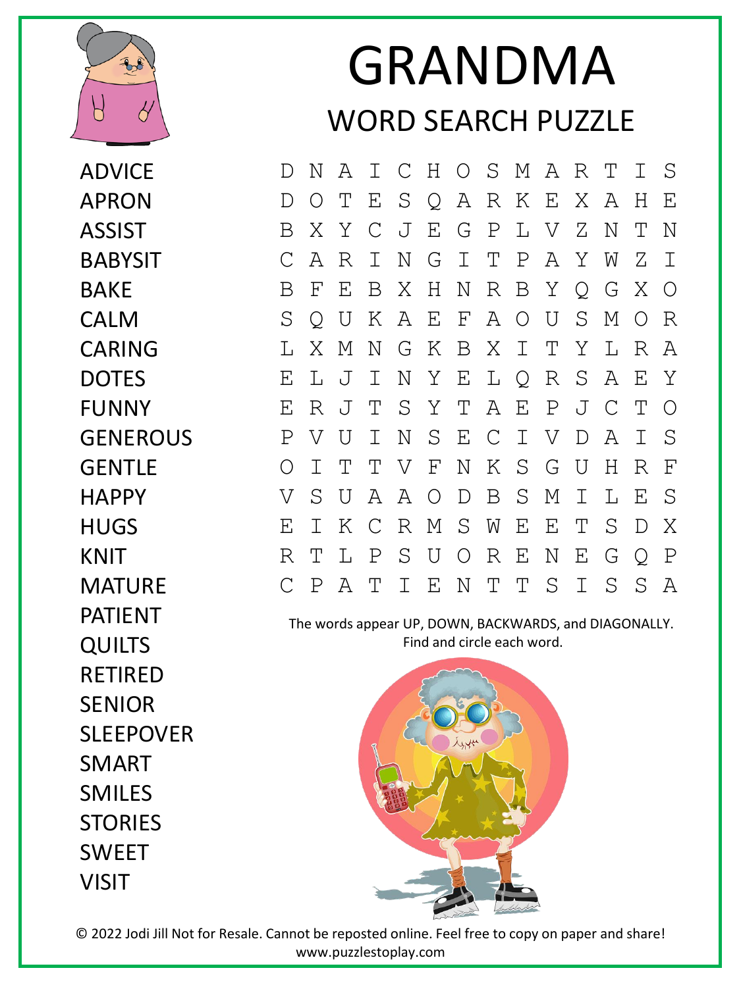

ADVICE APRON ASSIST BABYSIT **BAKF** CALM CARING DOTES FUNNY **GENEROUS GENTLF HAPPY HUGS** KNIT MATURE PATIENT **QUILTS** RETIRED SENIOR SLEEPOVER SMART SMILES **STORIES** SWEET VISIT

## GRANDMA WORD SEARCH PUZZLE

D N A I C H O S M A R T I S D O T E S Q A R K E X A H E B X Y C J E G P L V Z N T N C A R I N G I T P A Y W Z I B F E B X H N R B Y Q G X O S Q U K A E F A O U S M O R L X M N G K B X I T Y L R A E L J I N Y E L Q R S A E Y E R J T S Y T A E P J C T O P V U I N S E C I V D A I S O I T T V F N K S G U H R F V S U A A O D B S M I L E S E I K C R M S W E E T S D X R T L P S U O R E N E G Q P C P A T I E N T T S I S S A

The words appear UP, DOWN, BACKWARDS, and DIAGONALLY. Find and circle each word.



© 2022 Jodi Jill Not for Resale. Cannot be reposted online. Feel free to copy on paper and share! www.puzzlestoplay.com